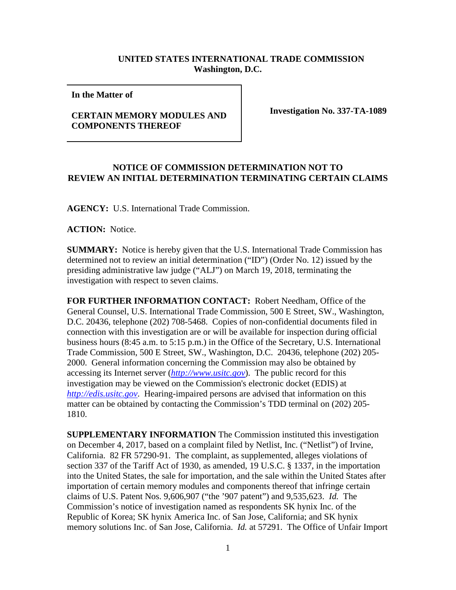## **UNITED STATES INTERNATIONAL TRADE COMMISSION Washington, D.C.**

**In the Matter of** 

## **CERTAIN MEMORY MODULES AND COMPONENTS THEREOF**

**Investigation No. 337-TA-1089**

## **NOTICE OF COMMISSION DETERMINATION NOT TO REVIEW AN INITIAL DETERMINATION TERMINATING CERTAIN CLAIMS**

**AGENCY:** U.S. International Trade Commission.

**ACTION:** Notice.

**SUMMARY:** Notice is hereby given that the U.S. International Trade Commission has determined not to review an initial determination ("ID") (Order No. 12) issued by the presiding administrative law judge ("ALJ") on March 19, 2018, terminating the investigation with respect to seven claims.

**FOR FURTHER INFORMATION CONTACT:** Robert Needham, Office of the General Counsel, U.S. International Trade Commission, 500 E Street, SW., Washington, D.C. 20436, telephone (202) 708-5468. Copies of non-confidential documents filed in connection with this investigation are or will be available for inspection during official business hours (8:45 a.m. to 5:15 p.m.) in the Office of the Secretary, U.S. International Trade Commission, 500 E Street, SW., Washington, D.C. 20436, telephone (202) 205- 2000. General information concerning the Commission may also be obtained by accessing its Internet server (*[http://www.usitc.gov](http://www.usitc.gov/)*). The public record for this investigation may be viewed on the Commission's electronic docket (EDIS) at *[http://edis.usitc.gov](http://edis.usitc.gov/)*. Hearing-impaired persons are advised that information on this matter can be obtained by contacting the Commission's TDD terminal on (202) 205- 1810.

**SUPPLEMENTARY INFORMATION** The Commission instituted this investigation on December 4, 2017, based on a complaint filed by Netlist, Inc. ("Netlist") of Irvine, California. 82 FR 57290-91. The complaint, as supplemented, alleges violations of section 337 of the Tariff Act of 1930, as amended, 19 U.S.C. § 1337, in the importation into the United States, the sale for importation, and the sale within the United States after importation of certain memory modules and components thereof that infringe certain claims of U.S. Patent Nos. 9,606,907 ("the '907 patent") and 9,535,623. *Id.* The Commission's notice of investigation named as respondents SK hynix Inc. of the Republic of Korea; SK hynix America Inc. of San Jose, California; and SK hynix memory solutions Inc. of San Jose, California. *Id.* at 57291. The Office of Unfair Import